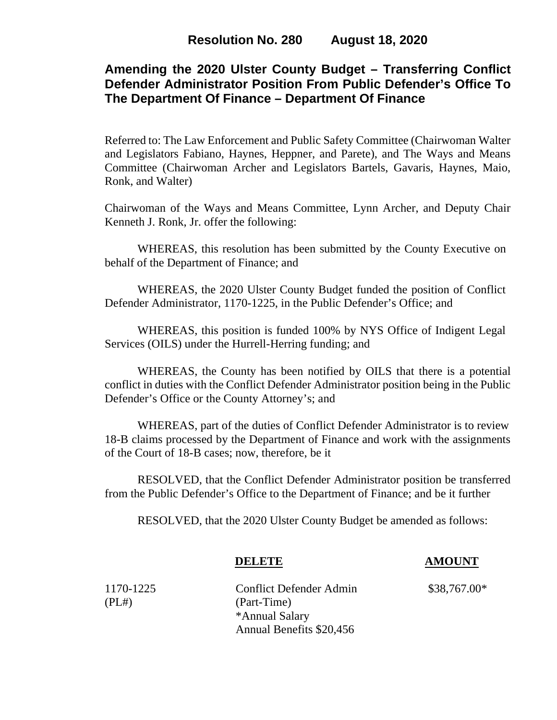# **Amending the 2020 Ulster County Budget – Transferring Conflict Defender Administrator Position From Public Defender's Office To The Department Of Finance – Department Of Finance**

Referred to: The Law Enforcement and Public Safety Committee (Chairwoman Walter and Legislators Fabiano, Haynes, Heppner, and Parete), and The Ways and Means Committee (Chairwoman Archer and Legislators Bartels, Gavaris, Haynes, Maio, Ronk, and Walter)

Chairwoman of the Ways and Means Committee, Lynn Archer, and Deputy Chair Kenneth J. Ronk, Jr. offer the following:

WHEREAS, this resolution has been submitted by the County Executive on behalf of the Department of Finance; and

WHEREAS, the 2020 Ulster County Budget funded the position of Conflict Defender Administrator, 1170-1225, in the Public Defender's Office; and

WHEREAS, this position is funded 100% by NYS Office of Indigent Legal Services (OILS) under the Hurrell-Herring funding; and

WHEREAS, the County has been notified by OILS that there is a potential conflict in duties with the Conflict Defender Administrator position being in the Public Defender's Office or the County Attorney's; and

WHEREAS, part of the duties of Conflict Defender Administrator is to review 18-B claims processed by the Department of Finance and work with the assignments of the Court of 18-B cases; now, therefore, be it

RESOLVED, that the Conflict Defender Administrator position be transferred from the Public Defender's Office to the Department of Finance; and be it further

RESOLVED, that the 2020 Ulster County Budget be amended as follows:

1170-1225 Conflict Defender Admin \$38,767.00\* (PL#) (Part-Time) \*Annual Salary Annual Benefits \$20,456

**DELETE AMOUNT**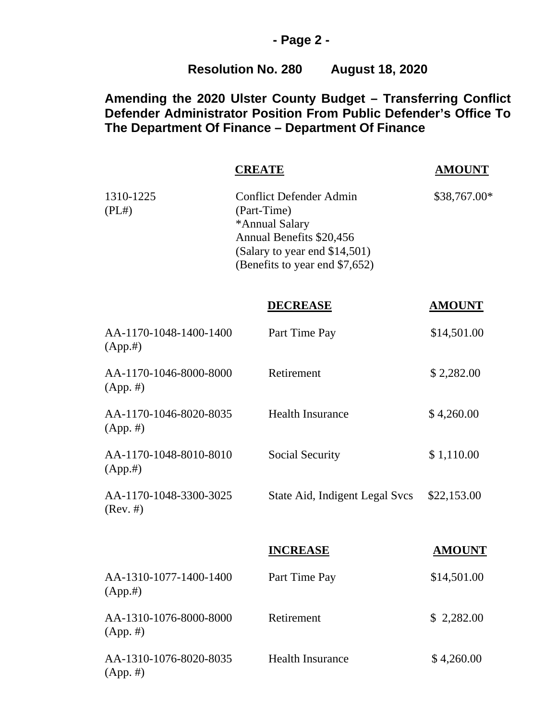#### **- Page 2 -**

# **Resolution No. 280 August 18, 2020**

# **Amending the 2020 Ulster County Budget – Transferring Conflict Defender Administrator Position From Public Defender's Office To The Department Of Finance – Department Of Finance**

|                                       | <b>CREATE</b>                                                                                                                                                  | <b>AMOUNT</b> |
|---------------------------------------|----------------------------------------------------------------------------------------------------------------------------------------------------------------|---------------|
| 1310-1225<br>(PL#)                    | <b>Conflict Defender Admin</b><br>(Part-Time)<br>*Annual Salary<br>Annual Benefits \$20,456<br>(Salary to year end \$14,501)<br>(Benefits to year end \$7,652) | \$38,767.00*  |
|                                       | <b>DECREASE</b>                                                                                                                                                | <b>AMOUNT</b> |
| AA-1170-1048-1400-1400<br>(App.#)     | Part Time Pay                                                                                                                                                  | \$14,501.00   |
| AA-1170-1046-8000-8000<br>$(App. \#)$ | Retirement                                                                                                                                                     | \$2,282.00    |
| AA-1170-1046-8020-8035<br>$(App. \#)$ | <b>Health Insurance</b>                                                                                                                                        | \$4,260.00    |
| AA-1170-1048-8010-8010<br>(App.#)     | Social Security                                                                                                                                                | \$1,110.00    |
| AA-1170-1048-3300-3025<br>(Rev. #)    | State Aid, Indigent Legal Svcs                                                                                                                                 | \$22,153.00   |
|                                       | <b>INCREASE</b>                                                                                                                                                | <b>AMOUNT</b> |
| AA-1310-1077-1400-1400<br>(App.#)     | Part Time Pay                                                                                                                                                  | \$14,501.00   |
| AA-1310-1076-8000-8000<br>$(App. \#)$ | Retirement                                                                                                                                                     | \$2,282.00    |
| AA-1310-1076-8020-8035<br>$(App. \#)$ | <b>Health Insurance</b>                                                                                                                                        | \$4,260.00    |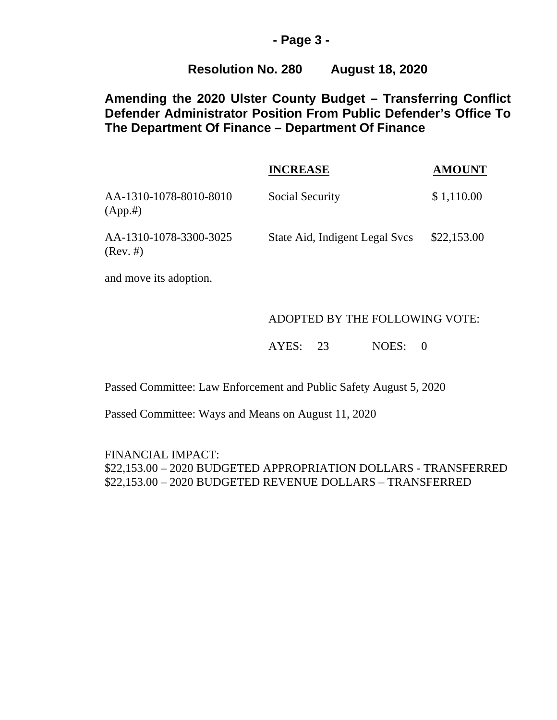#### **- Page 3 -**

### **Resolution No. 280 August 18, 2020**

# **Amending the 2020 Ulster County Budget – Transferring Conflict Defender Administrator Position From Public Defender's Office To The Department Of Finance – Department Of Finance**

|                                       | <b>INCREASE</b>                | <b>AMOUNT</b> |
|---------------------------------------|--------------------------------|---------------|
| AA-1310-1078-8010-8010<br>(App.#)     | Social Security                | \$1,110.00    |
| AA-1310-1078-3300-3025<br>$(Rev. \#)$ | State Aid, Indigent Legal Svcs | \$22,153.00   |

and move its adoption.

#### ADOPTED BY THE FOLLOWING VOTE:

AYES: 23 NOES: 0

Passed Committee: Law Enforcement and Public Safety August 5, 2020

Passed Committee: Ways and Means on August 11, 2020

FINANCIAL IMPACT: \$22,153.00 – 2020 BUDGETED APPROPRIATION DOLLARS - TRANSFERRED \$22,153.00 – 2020 BUDGETED REVENUE DOLLARS – TRANSFERRED